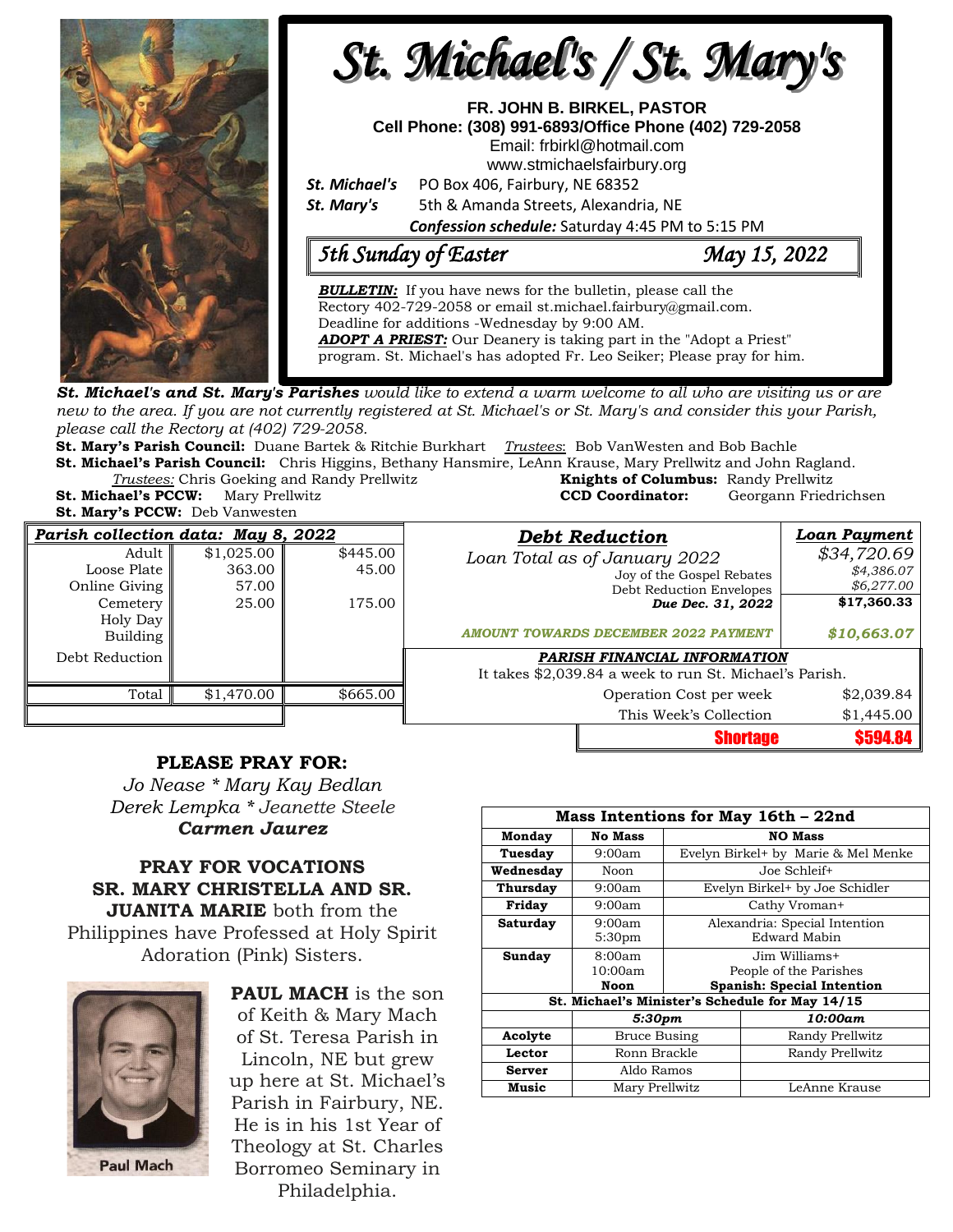

**St. Michael's and St. Mary's Parishes** would like to extend a warm welcome to all who are visiting us or are new to the area. If you are not currently registered at St. Michael's or St. Mary's and consider this your Parish, *please call the Rectory at (402) 729-2058.* 

**St. Mary's Parish Council:** Duane Bartek & Ritchie Burkhart *Trustees*: Bob VanWesten and Bob Bachle

**St. Michael's Parish Council:** Chris Higgins, Bethany Hansmire, LeAnn Krause, Mary Prellwitz and John Ragland. *Trustees:* Chris Goeking and Randy Prellwitz **Knights of Columbus:** Randy Prellwitz **St. Michael's PCCW:** Mary Prellwitz **CCD Coordinator:** Georgann Friedrichsen

**St. Mary's PCCW:** Deb Vanwesten

| Parish collection data: May 8, 2022 |            |          | <b>Debt Reduction</b>                                   |                           | Loan Payment |
|-------------------------------------|------------|----------|---------------------------------------------------------|---------------------------|--------------|
| Adult                               | \$1,025.00 | \$445.00 | Loan Total as of January 2022                           |                           | \$34,720.69  |
| Loose Plate                         | 363.00     | 45.00    |                                                         | Joy of the Gospel Rebates | \$4,386.07   |
| Online Giving                       | 57.00      |          |                                                         | Debt Reduction Envelopes  | \$6,277.00   |
| Cemetery                            | 25.00      | 175.00   |                                                         | Due Dec. 31, 2022         | \$17,360.33  |
| Holy Day                            |            |          | <b>AMOUNT TOWARDS DECEMBER 2022 PAYMENT</b>             |                           | \$10,663.07  |
| Building                            |            |          |                                                         |                           |              |
| Debt Reduction                      |            |          | PARISH FINANCIAL INFORMATION                            |                           |              |
|                                     |            |          | It takes \$2,039.84 a week to run St. Michael's Parish. |                           |              |
| Total                               | \$1,470.00 | \$665.00 |                                                         | Operation Cost per week   | \$2,039.84   |
|                                     |            |          |                                                         | This Week's Collection    | \$1,445.00   |
|                                     |            |          |                                                         | <b>Shortage</b>           | \$594.84     |

## **PLEASE PRAY FOR:**

*Jo Nease \* Mary Kay Bedlan Derek Lempka \* Jeanette Steele Carmen Jaurez*

## **PRAY FOR VOCATIONS SR. MARY CHRISTELLA AND SR. JUANITA MARIE** both from the Philippines have Professed at Holy Spirit Adoration (Pink) Sisters.



**PAUL MACH** is the son of Keith & Mary Mach of St. Teresa Parish in Lincoln, NE but grew up here at St. Michael's Parish in Fairbury, NE. He is in his 1st Year of Theology at St. Charles Borromeo Seminary in Philadelphia.

| Mass Intentions for May 16th - 22nd             |                    |                                |                                     |  |  |  |
|-------------------------------------------------|--------------------|--------------------------------|-------------------------------------|--|--|--|
| Monday                                          | <b>No Mass</b>     | <b>NO Mass</b>                 |                                     |  |  |  |
| Tuesday                                         | 9:00am             |                                | Evelyn Birkel+ by Marie & Mel Menke |  |  |  |
| Wednesday<br>Noon                               |                    | Joe Schleif+                   |                                     |  |  |  |
| <b>Thursday</b>                                 | 9:00am             | Evelyn Birkel+ by Joe Schidler |                                     |  |  |  |
| Friday                                          | 9:00am             | Cathy Vroman+                  |                                     |  |  |  |
| <b>Saturday</b>                                 | 9:00am             | Alexandria: Special Intention  |                                     |  |  |  |
|                                                 | 5:30 <sub>pm</sub> | Edward Mabin                   |                                     |  |  |  |
| Sunday                                          | 8:00am             | Jim Williams+                  |                                     |  |  |  |
|                                                 | 10:00am            | People of the Parishes         |                                     |  |  |  |
|                                                 | Noon               |                                | <b>Spanish: Special Intention</b>   |  |  |  |
| St. Michael's Minister's Schedule for May 14/15 |                    |                                |                                     |  |  |  |
|                                                 | 5:30pm             |                                | 10:00am                             |  |  |  |
| Acolyte                                         | Bruce Busing       |                                | Randy Prellwitz                     |  |  |  |
| Lector                                          | Ronn Brackle       |                                | Randy Prellwitz                     |  |  |  |
| <b>Server</b>                                   | Aldo Ramos         |                                |                                     |  |  |  |
| <b>Music</b>                                    | Mary Prellwitz     |                                | LeAnne Krause                       |  |  |  |